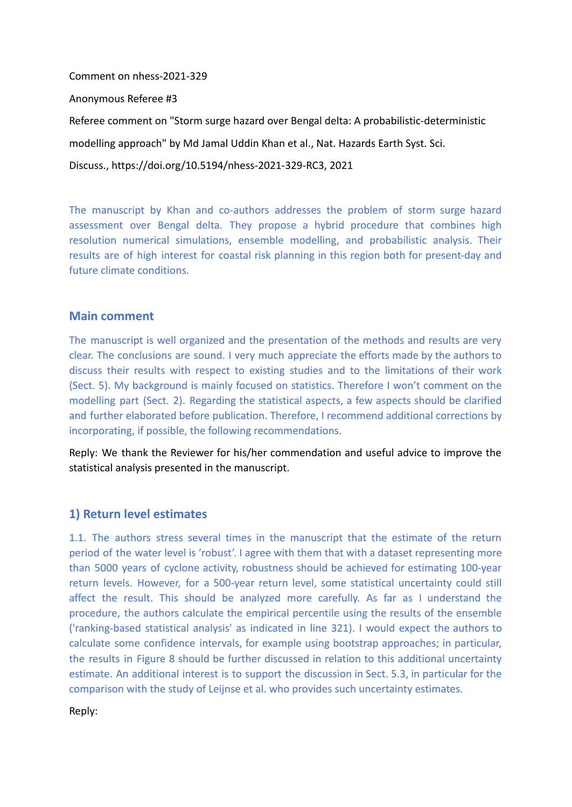```
Comment on nhess-2021-329
Anonymous Referee #3
Referee comment on "Storm surge hazard over Bengal delta: A probabilistic-deterministic
modelling approach" by Md Jamal Uddin Khan et al., Nat. Hazards Earth Syst. Sci.
Discuss., https://doi.org/10.5194/nhess-2021-329-RC3, 2021
```
The manuscript by Khan and co-authors addresses the problem of storm surge hazard assessment over Bengal delta. They propose a hybrid procedure that combines high resolution numerical simulations, ensemble modelling, and probabilistic analysis. Their results are of high interest for coastal risk planning in this region both for present-day and future climate conditions.

### **Main comment**

The manuscript is well organized and the presentation of the methods and results are very clear. The conclusions are sound. I very much appreciate the efforts made by the authors to discuss their results with respect to existing studies and to the limitations of their work (Sect. 5). My background is mainly focused on statistics. Therefore I won't comment on the modelling part (Sect. 2). Regarding the statistical aspects, a few aspects should be clarified and further elaborated before publication. Therefore, I recommend additional corrections by incorporating, if possible, the following recommendations.

Reply: We thank the Reviewer for his/her commendation and useful advice to improve the statistical analysis presented in the manuscript.

## **1) Return level estimates**

1.1. The authors stress several times in the manuscript that the estimate of the return period of the water level is 'robust'. I agree with them that with a dataset representing more than 5000 years of cyclone activity, robustness should be achieved for estimating 100-year return levels. However, for a 500-year return level, some statistical uncertainty could still affect the result. This should be analyzed more carefully. As far as I understand the procedure, the authors calculate the empirical percentile using the results of the ensemble ('ranking-based statistical analysis' as indicated in line 321). I would expect the authors to calculate some confidence intervals, for example using bootstrap approaches; in particular, the results in Figure 8 should be further discussed in relation to this additional uncertainty estimate. An additional interest is to support the discussion in Sect. 5.3, in particular for the comparison with the study of Leijnse et al. who provides such uncertainty estimates.

Reply: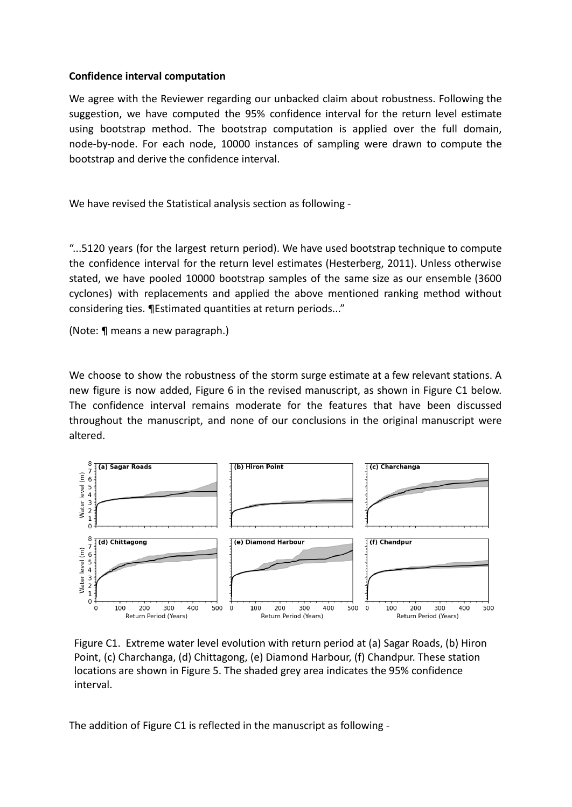#### **Confidence interval computation**

We agree with the Reviewer regarding our unbacked claim about robustness. Following the suggestion, we have computed the 95% confidence interval for the return level estimate using bootstrap method. The bootstrap computation is applied over the full domain, node-by-node. For each node, 10000 instances of sampling were drawn to compute the bootstrap and derive the confidence interval.

We have revised the Statistical analysis section as following -

"...5120 years (for the largest return period). We have used bootstrap technique to compute the confidence interval for the return level estimates (Hesterberg, 2011). Unless otherwise stated, we have pooled 10000 bootstrap samples of the same size as our ensemble (3600 cyclones) with replacements and applied the above mentioned ranking method without considering ties. ¶Estimated quantities at return periods..."

(Note: ¶ means a new paragraph.)

We choose to show the robustness of the storm surge estimate at a few relevant stations. A new figure is now added, Figure 6 in the revised manuscript, as shown in Figure C1 below. The confidence interval remains moderate for the features that have been discussed throughout the manuscript, and none of our conclusions in the original manuscript were altered.



Figure C1. Extreme water level evolution with return period at (a) Sagar Roads, (b) Hiron Point, (c) Charchanga, (d) Chittagong, (e) Diamond Harbour, (f) Chandpur. These station locations are shown in Figure 5. The shaded grey area indicates the 95% confidence interval.

The addition of Figure C1 is reflected in the manuscript as following -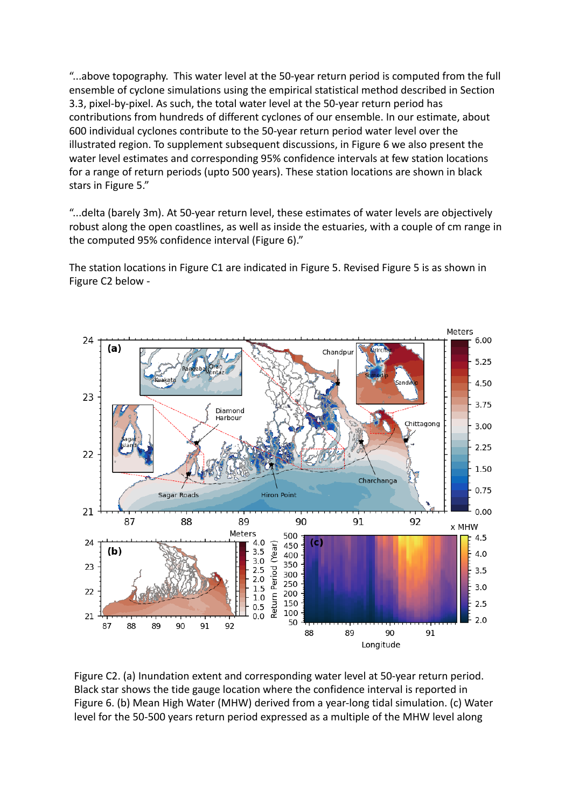"...above topography. This water level at the 50-year return period is computed from the full ensemble of cyclone simulations using the empirical statistical method described in Section 3.3, pixel-by-pixel. As such, the total water level at the 50-year return period has contributions from hundreds of different cyclones of our ensemble. In our estimate, about 600 individual cyclones contribute to the 50-year return period water level over the illustrated region. To supplement subsequent discussions, in Figure 6 we also present the water level estimates and corresponding 95% confidence intervals at few station locations for a range of return periods (upto 500 years). These station locations are shown in black stars in Figure 5."

"...delta (barely 3m). At 50-year return level, these estimates of water levels are objectively robust along the open coastlines, as well as inside the estuaries, with a couple of cm range in the computed 95% confidence interval (Figure 6)."

The station locations in Figure C1 are indicated in Figure 5. Revised Figure 5 is as shown in Figure C2 below -



Figure C2. (a) Inundation extent and corresponding water level at 50-year return period. Black star shows the tide gauge location where the confidence interval is reported in Figure 6. (b) Mean High Water (MHW) derived from a year-long tidal simulation. (c) Water level for the 50-500 years return period expressed as a multiple of the MHW level along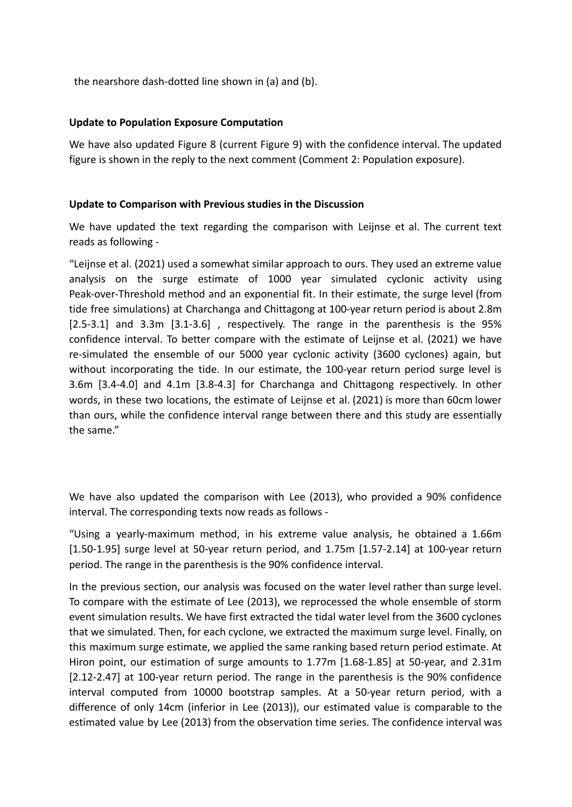the nearshore dash-dotted line shown in (a) and (b).

#### **Update to Population Exposure Computation**

We have also updated Figure 8 (current Figure 9) with the confidence interval. The updated figure is shown in the reply to the next comment (Comment 2: Population exposure).

### **Update to Comparison with Previous studies in the Discussion**

We have updated the text regarding the comparison with Leijnse et al. The current text reads as following -

"Leijnse et al. (2021) used a somewhat similar approach to ours. They used an extreme value analysis on the surge estimate of 1000 year simulated cyclonic activity using Peak-over-Threshold method and an exponential fit. In their estimate, the surge level (from tide free simulations) at Charchanga and Chittagong at 100-year return period is about 2.8m [2.5-3.1] and 3.3m [3.1-3.6] , respectively. The range in the parenthesis is the 95% confidence interval. To better compare with the estimate of Leijnse et al. (2021) we have re-simulated the ensemble of our 5000 year cyclonic activity (3600 cyclones) again, but without incorporating the tide. In our estimate, the 100-year return period surge level is 3.6m [3.4-4.0] and 4.1m [3.8-4.3] for Charchanga and Chittagong respectively. In other words, in these two locations, the estimate of Leijnse et al. (2021) is more than 60cm lower than ours, while the confidence interval range between there and this study are essentially the same."

We have also updated the comparison with Lee (2013), who provided a 90% confidence interval. The corresponding texts now reads as follows -

"Using a yearly-maximum method, in his extreme value analysis, he obtained a 1.66m [1.50-1.95] surge level at 50-year return period, and 1.75m [1.57-2.14] at 100-year return period. The range in the parenthesis is the 90% confidence interval.

In the previous section, our analysis was focused on the water level rather than surge level. To compare with the estimate of Lee (2013), we reprocessed the whole ensemble of storm event simulation results. We have first extracted the tidal water level from the 3600 cyclones that we simulated. Then, for each cyclone, we extracted the maximum surge level. Finally, on this maximum surge estimate, we applied the same ranking based return period estimate. At Hiron point, our estimation of surge amounts to 1.77m [1.68-1.85] at 50-year, and 2.31m [2.12-2.47] at 100-year return period. The range in the parenthesis is the 90% confidence interval computed from 10000 bootstrap samples. At a 50-year return period, with a difference of only 14cm (inferior in Lee (2013)), our estimated value is comparable to the estimated value by Lee (2013) from the observation time series. The confidence interval was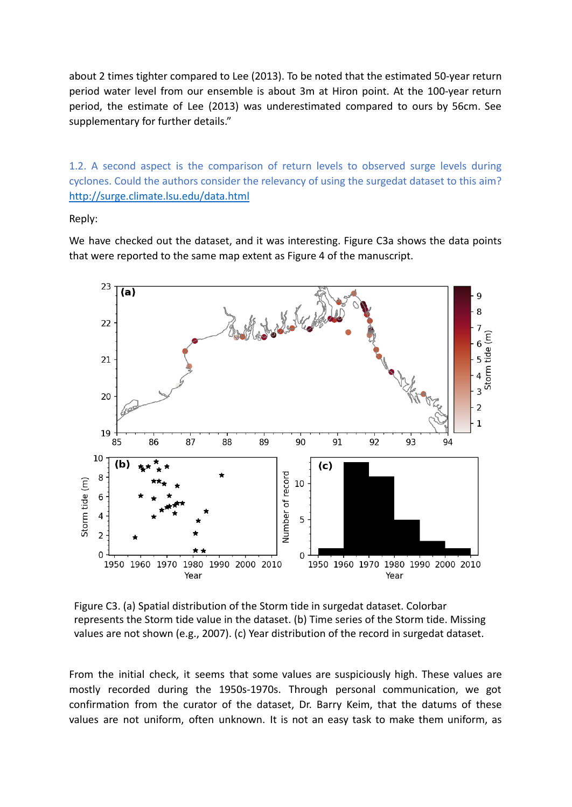about 2 times tighter compared to Lee (2013). To be noted that the estimated 50-year return period water level from our ensemble is about 3m at Hiron point. At the 100-year return period, the estimate of Lee (2013) was underestimated compared to ours by 56cm. See supplementary for further details."

1.2. A second aspect is the comparison of return levels to observed surge levels during cyclones. Could the authors consider the relevancy of using the surgedat dataset to this aim? <http://surge.climate.lsu.edu/data.html>

Reply:

We have checked out the dataset, and it was interesting. Figure C3a shows the data points that were reported to the same map extent as Figure 4 of the manuscript.



Figure C3. (a) Spatial distribution of the Storm tide in surgedat dataset. Colorbar represents the Storm tide value in the dataset. (b) Time series of the Storm tide. Missing values are not shown (e.g., 2007). (c) Year distribution of the record in surgedat dataset.

From the initial check, it seems that some values are suspiciously high. These values are mostly recorded during the 1950s-1970s. Through personal communication, we got confirmation from the curator of the dataset, Dr. Barry Keim, that the datums of these values are not uniform, often unknown. It is not an easy task to make them uniform, as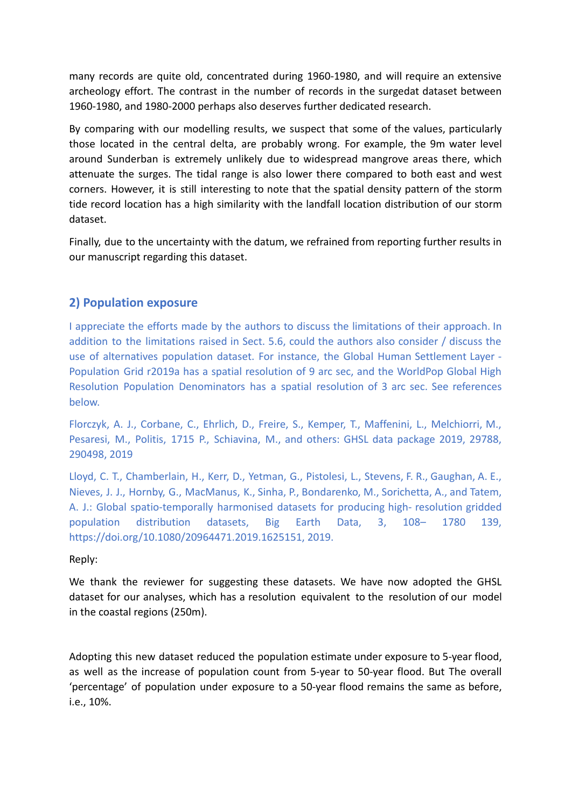many records are quite old, concentrated during 1960-1980, and will require an extensive archeology effort. The contrast in the number of records in the surgedat dataset between 1960-1980, and 1980-2000 perhaps also deserves further dedicated research.

By comparing with our modelling results, we suspect that some of the values, particularly those located in the central delta, are probably wrong. For example, the 9m water level around Sunderban is extremely unlikely due to widespread mangrove areas there, which attenuate the surges. The tidal range is also lower there compared to both east and west corners. However, it is still interesting to note that the spatial density pattern of the storm tide record location has a high similarity with the landfall location distribution of our storm dataset.

Finally, due to the uncertainty with the datum, we refrained from reporting further results in our manuscript regarding this dataset.

# **2) Population exposure**

I appreciate the efforts made by the authors to discuss the limitations of their approach. In addition to the limitations raised in Sect. 5.6, could the authors also consider / discuss the use of alternatives population dataset. For instance, the Global Human Settlement Layer - Population Grid r2019a has a spatial resolution of 9 arc sec, and the WorldPop Global High Resolution Population Denominators has a spatial resolution of 3 arc sec. See references below.

Florczyk, A. J., Corbane, C., Ehrlich, D., Freire, S., Kemper, T., Maffenini, L., Melchiorri, M., Pesaresi, M., Politis, 1715 P., Schiavina, M., and others: GHSL data package 2019, 29788, 290498, 2019

Lloyd, C. T., Chamberlain, H., Kerr, D., Yetman, G., Pistolesi, L., Stevens, F. R., Gaughan, A. E., Nieves, J. J., Hornby, G., MacManus, K., Sinha, P., Bondarenko, M., Sorichetta, A., and Tatem, A. J.: Global spatio-temporally harmonised datasets for producing high- resolution gridded population distribution datasets, Big Earth Data, 3, 108– 1780 139, https://doi.org/10.1080/20964471.2019.1625151, 2019.

Reply:

We thank the reviewer for suggesting these datasets. We have now adopted the GHSL dataset for our analyses, which has a resolution equivalent to the resolution of our model in the coastal regions (250m).

Adopting this new dataset reduced the population estimate under exposure to 5-year flood, as well as the increase of population count from 5-year to 50-year flood. But The overall 'percentage' of population under exposure to a 50-year flood remains the same as before, i.e., 10%.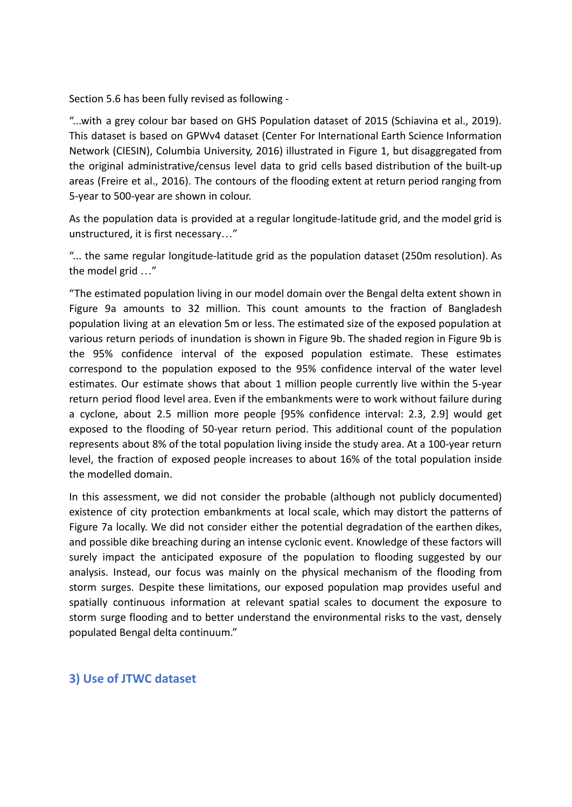Section 5.6 has been fully revised as following -

"...with a grey colour bar based on GHS Population dataset of 2015 (Schiavina et al., 2019). This dataset is based on GPWv4 dataset (Center For International Earth Science Information Network (CIESIN), Columbia University, 2016) illustrated in Figure 1, but disaggregated from the original administrative/census level data to grid cells based distribution of the built-up areas (Freire et al., 2016). The contours of the flooding extent at return period ranging from 5-year to 500-year are shown in colour.

As the population data is provided at a regular longitude-latitude grid, and the model grid is unstructured, it is first necessary…"

"... the same regular longitude-latitude grid as the population dataset (250m resolution). As the model grid …"

"The estimated population living in our model domain over the Bengal delta extent shown in Figure 9a amounts to 32 million. This count amounts to the fraction of Bangladesh population living at an elevation 5m or less. The estimated size of the exposed population at various return periods of inundation is shown in Figure 9b. The shaded region in Figure 9b is the 95% confidence interval of the exposed population estimate. These estimates correspond to the population exposed to the 95% confidence interval of the water level estimates. Our estimate shows that about 1 million people currently live within the 5-year return period flood level area. Even if the embankments were to work without failure during a cyclone, about 2.5 million more people [95% confidence interval: 2.3, 2.9] would get exposed to the flooding of 50-year return period. This additional count of the population represents about 8% of the total population living inside the study area. At a 100-year return level, the fraction of exposed people increases to about 16% of the total population inside the modelled domain.

In this assessment, we did not consider the probable (although not publicly documented) existence of city protection embankments at local scale, which may distort the patterns of Figure 7a locally. We did not consider either the potential degradation of the earthen dikes, and possible dike breaching during an intense cyclonic event. Knowledge of these factors will surely impact the anticipated exposure of the population to flooding suggested by our analysis. Instead, our focus was mainly on the physical mechanism of the flooding from storm surges. Despite these limitations, our exposed population map provides useful and spatially continuous information at relevant spatial scales to document the exposure to storm surge flooding and to better understand the environmental risks to the vast, densely populated Bengal delta continuum."

## **3) Use of JTWC dataset**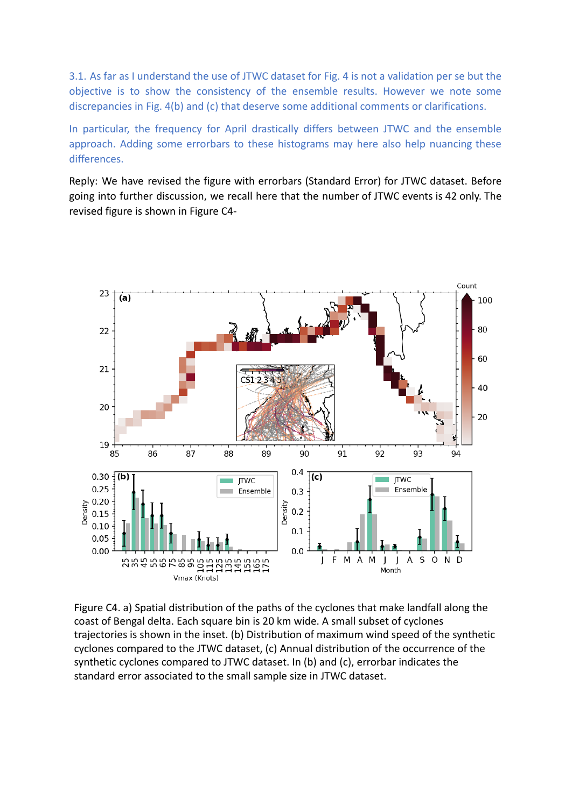3.1. As far as I understand the use of JTWC dataset for Fig. 4 is not a validation per se but the objective is to show the consistency of the ensemble results. However we note some discrepancies in Fig. 4(b) and (c) that deserve some additional comments or clarifications.

In particular, the frequency for April drastically differs between JTWC and the ensemble approach. Adding some errorbars to these histograms may here also help nuancing these differences.

Reply: We have revised the figure with errorbars (Standard Error) for JTWC dataset. Before going into further discussion, we recall here that the number of JTWC events is 42 only. The revised figure is shown in Figure C4-



Figure C4. a) Spatial distribution of the paths of the cyclones that make landfall along the coast of Bengal delta. Each square bin is 20 km wide. A small subset of cyclones trajectories is shown in the inset. (b) Distribution of maximum wind speed of the synthetic cyclones compared to the JTWC dataset, (c) Annual distribution of the occurrence of the synthetic cyclones compared to JTWC dataset. In (b) and (c), errorbar indicates the standard error associated to the small sample size in JTWC dataset.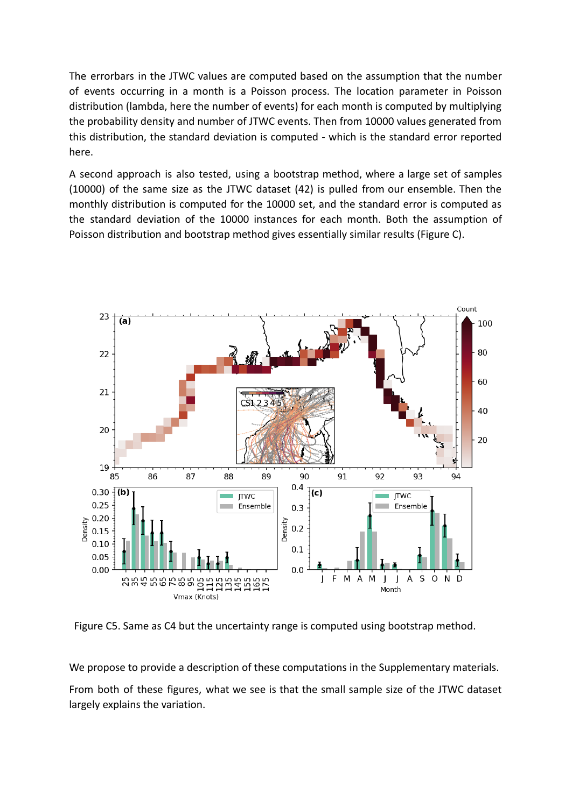The errorbars in the JTWC values are computed based on the assumption that the number of events occurring in a month is a Poisson process. The location parameter in Poisson distribution (lambda, here the number of events) for each month is computed by multiplying the probability density and number of JTWC events. Then from 10000 values generated from this distribution, the standard deviation is computed - which is the standard error reported here.

A second approach is also tested, using a bootstrap method, where a large set of samples (10000) of the same size as the JTWC dataset (42) is pulled from our ensemble. Then the monthly distribution is computed for the 10000 set, and the standard error is computed as the standard deviation of the 10000 instances for each month. Both the assumption of Poisson distribution and bootstrap method gives essentially similar results (Figure C).



Figure C5. Same as C4 but the uncertainty range is computed using bootstrap method.

We propose to provide a description of these computations in the Supplementary materials.

From both of these figures, what we see is that the small sample size of the JTWC dataset largely explains the variation.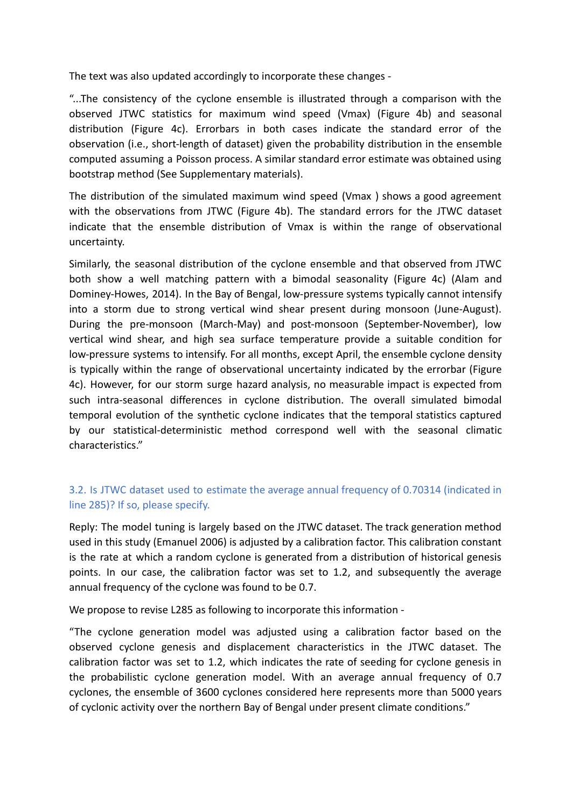The text was also updated accordingly to incorporate these changes -

"...The consistency of the cyclone ensemble is illustrated through a comparison with the observed JTWC statistics for maximum wind speed (Vmax) (Figure 4b) and seasonal distribution (Figure 4c). Errorbars in both cases indicate the standard error of the observation (i.e., short-length of dataset) given the probability distribution in the ensemble computed assuming a Poisson process. A similar standard error estimate was obtained using bootstrap method (See Supplementary materials).

The distribution of the simulated maximum wind speed (Vmax ) shows a good agreement with the observations from JTWC (Figure 4b). The standard errors for the JTWC dataset indicate that the ensemble distribution of Vmax is within the range of observational uncertainty.

Similarly, the seasonal distribution of the cyclone ensemble and that observed from JTWC both show a well matching pattern with a bimodal seasonality (Figure 4c) (Alam and Dominey-Howes, 2014). In the Bay of Bengal, low-pressure systems typically cannot intensify into a storm due to strong vertical wind shear present during monsoon (June-August). During the pre-monsoon (March-May) and post-monsoon (September-November), low vertical wind shear, and high sea surface temperature provide a suitable condition for low-pressure systems to intensify. For all months, except April, the ensemble cyclone density is typically within the range of observational uncertainty indicated by the errorbar (Figure 4c). However, for our storm surge hazard analysis, no measurable impact is expected from such intra-seasonal differences in cyclone distribution. The overall simulated bimodal temporal evolution of the synthetic cyclone indicates that the temporal statistics captured by our statistical-deterministic method correspond well with the seasonal climatic characteristics."

## 3.2. Is JTWC dataset used to estimate the average annual frequency of 0.70314 (indicated in line 285)? If so, please specify.

Reply: The model tuning is largely based on the JTWC dataset. The track generation method used in this study (Emanuel 2006) is adjusted by a calibration factor. This calibration constant is the rate at which a random cyclone is generated from a distribution of historical genesis points. In our case, the calibration factor was set to 1.2, and subsequently the average annual frequency of the cyclone was found to be 0.7.

We propose to revise L285 as following to incorporate this information -

"The cyclone generation model was adjusted using a calibration factor based on the observed cyclone genesis and displacement characteristics in the JTWC dataset. The calibration factor was set to 1.2, which indicates the rate of seeding for cyclone genesis in the probabilistic cyclone generation model. With an average annual frequency of 0.7 cyclones, the ensemble of 3600 cyclones considered here represents more than 5000 years of cyclonic activity over the northern Bay of Bengal under present climate conditions."